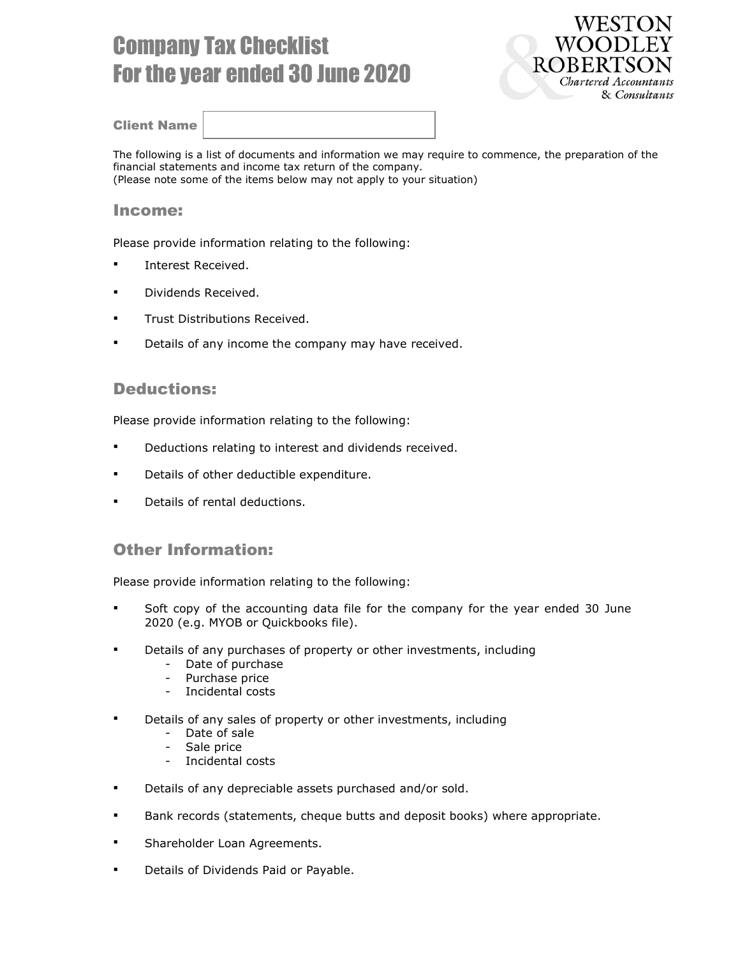# Company Tax Checklist For the year ended 30 June 2020



#### Client Name

The following is a list of documents and information we may require to commence, the preparation of the financial statements and income tax return of the company. (Please note some of the items below may not apply to your situation)

#### Income:

Please provide information relating to the following:

- **Interest Received.**
- **Dividends Received.**
- **Trust Distributions Received.**
- Details of any income the company may have received.

#### Deductions:

Please provide information relating to the following:

- **•** Deductions relating to interest and dividends received.
- **•** Details of other deductible expenditure.
- Details of rental deductions.

### Other Information:

Please provide information relating to the following:

- Soft copy of the accounting data file for the company for the year ended 30 June 2020 (e.g. MYOB or Quickbooks file).
- **Details of any purchases of property or other investments, including** 
	- Date of purchase
	- Purchase price
	- Incidental costs
- Details of any sales of property or other investments, including
	- Date of sale
	- Sale price
	- Incidental costs
- Details of any depreciable assets purchased and/or sold.
- Bank records (statements, cheque butts and deposit books) where appropriate.
- Shareholder Loan Agreements.
- **Details of Dividends Paid or Payable.**